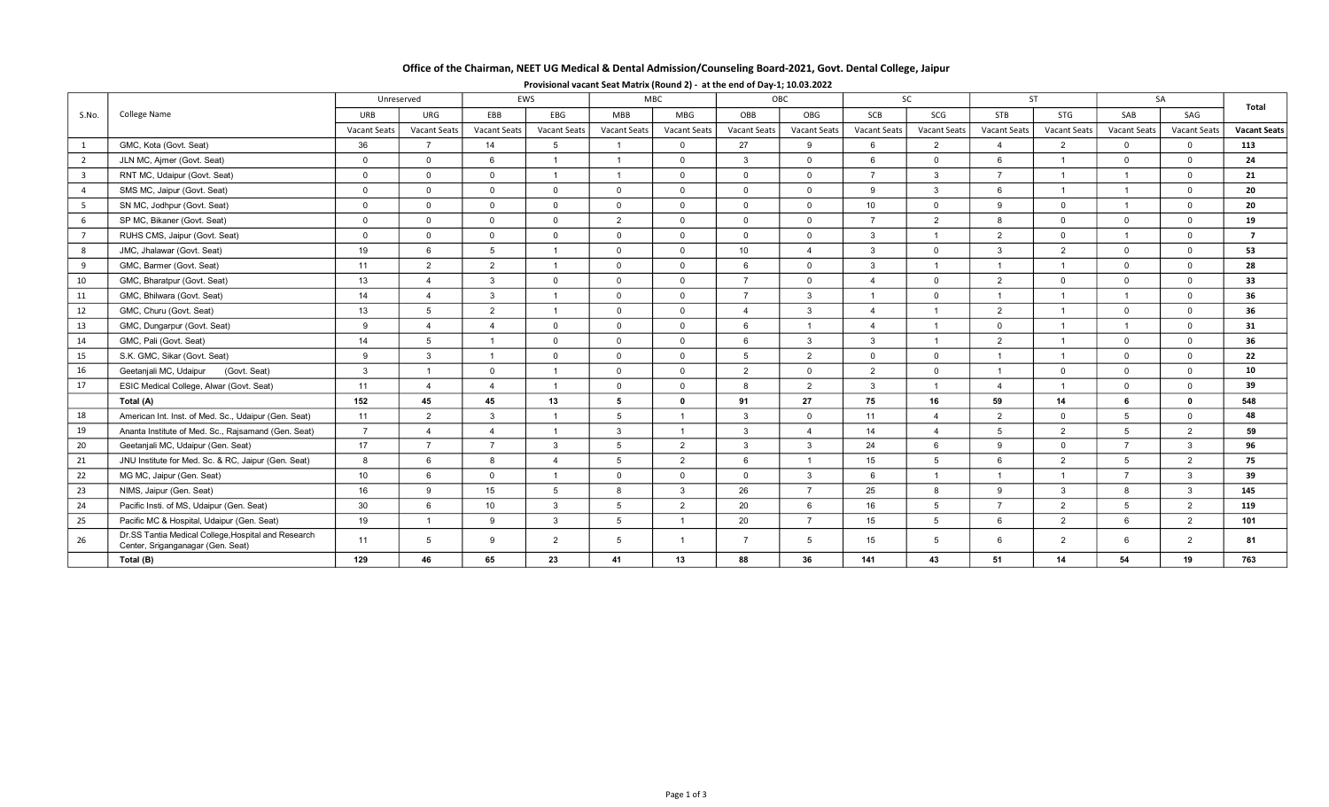# Office of the Chairman, NEET UG Medical & Dental Admission/Counseling Board-2021, Govt. Dental College, Jaipur

| S.No.                   | College Name                                                                             | Unreserved          |                     | EWS                 |                         | <b>MBC</b>          |                     | OBC                 |                        | <b>SC</b>      |                     | <b>ST</b>           |                      | SA                  |                     | Total               |
|-------------------------|------------------------------------------------------------------------------------------|---------------------|---------------------|---------------------|-------------------------|---------------------|---------------------|---------------------|------------------------|----------------|---------------------|---------------------|----------------------|---------------------|---------------------|---------------------|
|                         |                                                                                          | <b>URB</b>          | URG                 | EBB                 | EBG                     | <b>MBB</b>          | MBG                 | OBB                 | OBG                    | <b>SCB</b>     | SCG                 | <b>STB</b>          | <b>STG</b>           | SAB                 | SAG                 |                     |
|                         |                                                                                          | <b>Vacant Seats</b> | <b>Vacant Seats</b> | <b>Vacant Seats</b> | <b>Vacant Seats</b>     | <b>Vacant Seats</b> | <b>Vacant Seats</b> | <b>Vacant Seats</b> | <b>Vacant Seats</b>    | Vacant Seats   | <b>Vacant Seats</b> | <b>Vacant Seats</b> | <b>Vacant Seats</b>  | <b>Vacant Seats</b> | <b>Vacant Seats</b> | <b>Vacant Seats</b> |
| 1                       | GMC, Kota (Govt. Seat)                                                                   | 36                  | $\overline{7}$      | 14                  | 5                       | $\overline{1}$      | $\mathbf 0$         | 27                  | 9                      | 6              | $\overline{2}$      | $\overline{4}$      | 2                    | $\mathbf{0}$        | $\mathbf{0}$        | 113                 |
| 2                       | JLN MC, Ajmer (Govt. Seat)                                                               | $\overline{0}$      | $\overline{0}$      | 6                   | $\overline{1}$          | $\overline{1}$      | $\Omega$            | $\mathbf{3}$        | $\mathbf{0}$           | 6              | $\overline{0}$      | 6                   | $\overline{1}$       | $\Omega$            | $\Omega$            | 24                  |
| $\overline{\mathbf{3}}$ | RNT MC, Udaipur (Govt. Seat)                                                             | $\overline{0}$      | $\Omega$            | $\Omega$            | $\overline{1}$          | $\overline{1}$      | $\Omega$            | $\Omega$            | $\Omega$               | $\overline{7}$ | $\mathbf{3}$        | $\overline{7}$      | $\overline{1}$       | $\overline{1}$      | $\Omega$            | 21                  |
| $\overline{4}$          | SMS MC, Jaipur (Govt. Seat)                                                              | $\overline{0}$      | $\Omega$            | $\Omega$            | $\Omega$                | $\overline{0}$      | $\Omega$            | $\Omega$            | $\Omega$               | 9              | 3                   | 6                   | $\overline{1}$       | $\overline{1}$      | $\Omega$            | 20                  |
| 5                       | SN MC, Jodhpur (Govt. Seat)                                                              | $\mathbf 0$         | $\Omega$            | $\Omega$            | $\Omega$                | $\Omega$            | $\Omega$            | $\mathbf 0$         | $\Omega$               | 10             | $\overline{0}$      | 9                   | $\Omega$             |                     | $\Omega$            | 20                  |
| 6                       | SP MC, Bikaner (Govt. Seat)                                                              | $\mathbf 0$         | $\Omega$            | $\overline{0}$      | $\Omega$                | 2                   | $\Omega$            | $\mathbf 0$         | $\Omega$               | $\overline{7}$ | $\overline{2}$      | 8                   | $\Omega$             | $\Omega$            | $\Omega$            | 19                  |
| $\overline{7}$          | RUHS CMS, Jaipur (Govt. Seat)                                                            | $\overline{0}$      | $\Omega$            | $\Omega$            | $\Omega$                | $\Omega$            | $\Omega$            | $\Omega$            | $\Omega$               | 3              | $\overline{1}$      | 2                   | $\Omega$             |                     | $\Omega$            | $\overline{ }$      |
| 8                       | JMC, Jhalawar (Govt. Seat)                                                               | 19                  | 6                   | $5\overline{)}$     | $\overline{1}$          | $\overline{0}$      | $\mathbf 0$         | 10 <sup>1</sup>     | $\Delta$               | $\mathbf{3}$   | $\overline{0}$      | $\mathbf{3}$        | $\overline{2}$       | $\Omega$            | $\Omega$            | 53                  |
| 9                       | GMC, Barmer (Govt. Seat)                                                                 | 11                  | 2                   | 2                   | $\overline{1}$          | $\overline{0}$      | $\Omega$            | 6                   | $\overline{0}$         | 3              | $\mathbf{1}$        | $\overline{1}$      | $\overline{1}$       | $\overline{0}$      | $\Omega$            | 28                  |
| 10                      | GMC, Bharatpur (Govt. Seat)                                                              | 13                  | $\overline{4}$      | $\mathbf{3}$        | $\overline{0}$          | $\mathbf{0}$        | $\mathbf 0$         | $\overline{7}$      | $\Omega$               | $\Delta$       | $\overline{0}$      | 2                   | $\overline{0}$       | $\overline{0}$      | $\Omega$            | 33                  |
| 11                      | GMC, Bhilwara (Govt. Seat)                                                               | 14                  | $\overline{4}$      | $\mathbf{3}$        | $\overline{1}$          | $\Omega$            | $\Omega$            | $\overline{7}$      | -3                     | $\overline{1}$ | $\overline{0}$      | $\overline{1}$      |                      |                     | $\Omega$            | 36                  |
| 12                      | GMC, Churu (Govt. Seat)                                                                  | 13                  | 5                   | 2                   | $\overline{1}$          | $\Omega$            | $\Omega$            | 4                   | 3                      | $\mathbf{A}$   | $\overline{1}$      | 2                   |                      | $\Omega$            | $\Omega$            | 36                  |
| 13                      | GMC, Dungarpur (Govt. Seat)                                                              | 9                   | $\overline{4}$      | $\mathbf{A}$        | $\Omega$                | $\Omega$            | $\Omega$            | 6                   | $\overline{1}$         | $\Delta$       | $\overline{1}$      | $\overline{0}$      | $\blacktriangleleft$ | $\overline{1}$      | $\Omega$            | 31                  |
| 14                      | GMC, Pali (Govt. Seat)                                                                   | 14                  | 5                   | $\overline{1}$      | $\Omega$                | $\overline{0}$      | $\Omega$            | 6                   | $\mathbf{3}$           | 3              | $\overline{1}$      | 2                   | $\overline{1}$       | $\Omega$            | $\Omega$            | 36                  |
| 15                      | S.K. GMC, Sikar (Govt. Seat)                                                             | 9                   | $\mathbf{3}$        | $\overline{1}$      | $\overline{0}$          | $\Omega$            | $\Omega$            | 5                   | $\overline{2}$         | $\mathbf{0}$   | $\overline{0}$      | $\overline{1}$      | $\overline{1}$       | $\Omega$            | $\Omega$            | 22                  |
| 16                      | Geetanjali MC, Udaipur<br>(Govt. Seat)                                                   | $\mathbf{3}$        |                     | $\overline{0}$      | $\overline{\mathbf{1}}$ | $\mathbf 0$         | $\mathbf 0$         | 2                   | $\Omega$               | 2              | $\overline{0}$      | $\overline{1}$      | $\overline{0}$       | $\mathbf 0$         | $\Omega$            | 10                  |
| 17                      | ESIC Medical College, Alwar (Govt. Seat)                                                 | 11                  | $\overline{4}$      | $\mathbf{A}$        | $\overline{1}$          | $\overline{0}$      | $\mathbf 0$         | 8                   | 2                      | 3              | $\overline{1}$      | $\overline{4}$      |                      | $\overline{0}$      | $\Omega$            | 39                  |
|                         | Total (A)                                                                                | 152                 | 45                  | 45                  | 13                      | 5                   | $\mathbf{0}$        | 91                  | 27                     | 75             | 16                  | 59                  | 14                   | 6                   | $\mathbf{0}$        | 548                 |
| 18                      | American Int. Inst. of Med. Sc., Udaipur (Gen. Seat)                                     | 11                  | $\overline{2}$      | $\mathbf{3}$        | $\overline{1}$          | 5                   |                     | 3                   | $\Omega$               | 11             | $\overline{4}$      | 2                   | $\overline{0}$       | $5^{\circ}$         | $\Omega$            | 48                  |
| 19                      | Ananta Institute of Med. Sc., Rajsamand (Gen. Seat)                                      | $\overline{7}$      | $\overline{4}$      | $\overline{4}$      | $\overline{1}$          | -3                  | $\overline{1}$      | $\mathbf{3}$        | $\boldsymbol{\Lambda}$ | 14             | $\overline{4}$      | $5^{\circ}$         | 2                    | 5                   | $\overline{2}$      | 59                  |
| 20                      | Geetanjali MC, Udaipur (Gen. Seat)                                                       | 17                  | $\overline{7}$      | $\overline{7}$      | $\mathbf{3}$            | 5                   | 2                   | $\mathbf{3}$        | $\mathbf{3}$           | 24             | 6                   | 9                   | $\Omega$             | $\overline{7}$      | $\mathbf{3}$        | 96                  |
| 21                      | JNU Institute for Med. Sc. & RC, Jaipur (Gen. Seat)                                      | 8                   | 6                   | 8                   | $\overline{4}$          | 5                   | 2                   | 6                   | $\overline{1}$         | 15             | $5\overline{5}$     | 6                   | 2                    | $5^{\circ}$         | $\overline{2}$      | 75                  |
| 22                      | MG MC, Jaipur (Gen. Seat)                                                                | 10 <sup>1</sup>     | 6                   | $\overline{0}$      | $\overline{1}$          | $\overline{0}$      | $\Omega$            | $\mathbf 0$         | 3                      | 6              | $\overline{1}$      | $\overline{1}$      | $\overline{1}$       | $\overline{7}$      | $\mathbf{3}$        | 39                  |
| 23                      | NIMS, Jaipur (Gen. Seat)                                                                 | 16                  | 9                   | 15                  | 5                       | 8                   | $\mathbf{3}$        | 26                  | $\overline{7}$         | 25             | 8                   | 9                   | $\mathbf{3}$         | 8                   | $\mathbf{3}$        | 145                 |
| 24                      | Pacific Insti. of MS, Udaipur (Gen. Seat)                                                | 30                  | 6                   | 10 <sup>1</sup>     | $\mathbf{3}$            | $\overline{5}$      | 2                   | 20                  | 6                      | 16             | $5^{\circ}$         | $\overline{7}$      | 2                    | 5 <sup>5</sup>      | $\overline{2}$      | 119                 |
| 25                      | Pacific MC & Hospital, Udaipur (Gen. Seat)                                               | 19                  | $\overline{1}$      | 9                   | $\mathbf{3}$            | 5                   | $\overline{1}$      | 20                  | $\overline{7}$         | 15             | $5^{\circ}$         | 6                   | 2                    | 6                   | 2                   | 101                 |
| 26                      | Dr.SS Tantia Medical College, Hospital and Research<br>Center, Sriganganagar (Gen. Seat) | 11                  | 5                   | $\mathbf{Q}$        | $\overline{2}$          | 5                   |                     | $\overline{7}$      | 5                      | 15             | $5^{\circ}$         | 6                   | 2                    | 6                   | 2                   | 81                  |
|                         | Total (B)                                                                                | 129                 | 46                  | 65                  | 23                      | 41                  | 13                  | 88                  | 36                     | 141            | 43                  | 51                  | 14                   | 54                  | 19                  | 763                 |

## Provisional vacant Seat Matrix (Round 2) - at the end of Day-1; 10.03.2022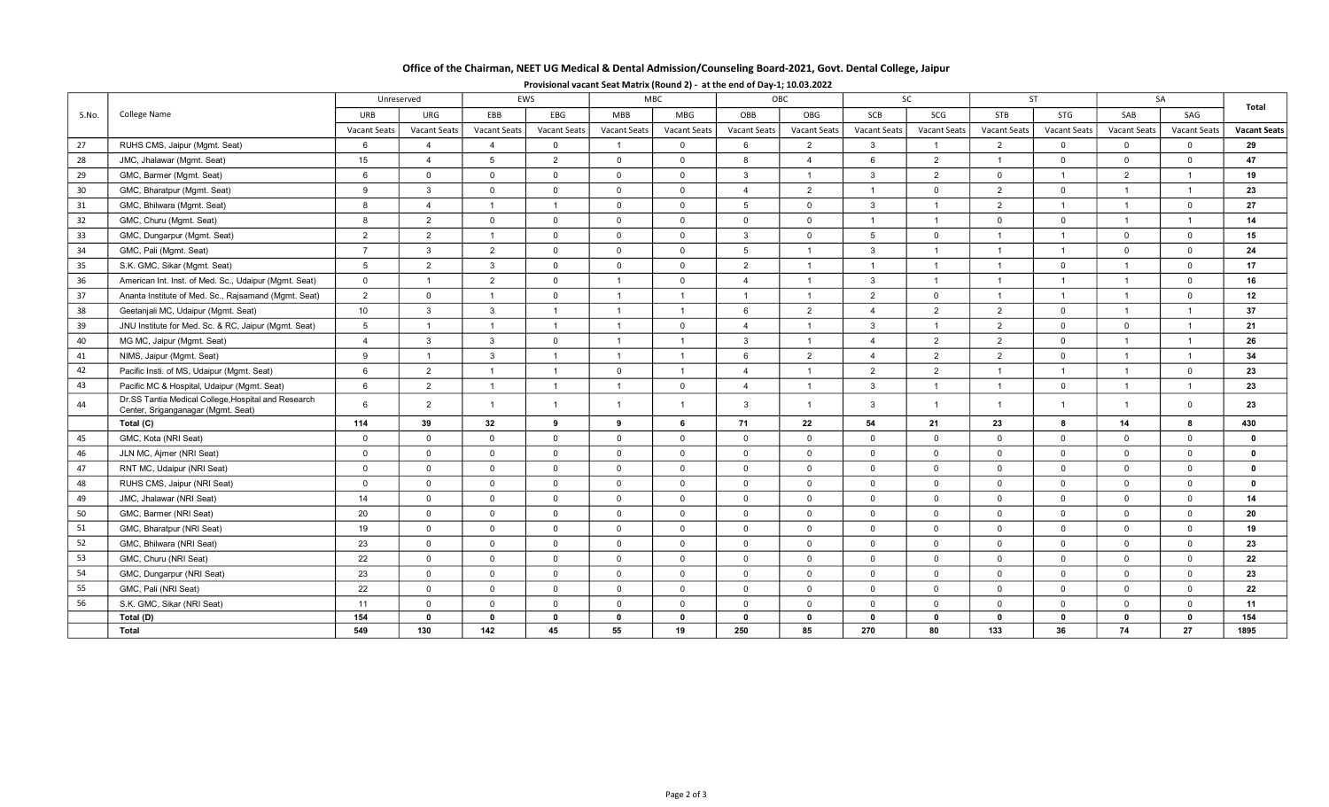# Office of the Chairman, NEET UG Medical & Dental Admission/Counseling Board-2021, Govt. Dental College, Jaipur

| S.No. | <b>College Name</b>                                                                       |                     | EWS<br>Unreserved   |                     |                | MBC                 |                | OBC                 |                     | SC              |                | ST                  |                     | SA             |                | Total               |  |
|-------|-------------------------------------------------------------------------------------------|---------------------|---------------------|---------------------|----------------|---------------------|----------------|---------------------|---------------------|-----------------|----------------|---------------------|---------------------|----------------|----------------|---------------------|--|
|       |                                                                                           | <b>URB</b>          | URG                 | EBB                 | EBG            | <b>MBB</b>          | <b>MBG</b>     | OBB                 | OBG                 | SCB             | SCG            | STB                 | STG                 | SAB            | SAG            |                     |  |
|       |                                                                                           | <b>Vacant Seats</b> | <b>Vacant Seats</b> | <b>Vacant Seats</b> | Vacant Seats   | <b>Vacant Seats</b> | Vacant Seats   | <b>Vacant Seats</b> | <b>Vacant Seats</b> | Vacant Seats    | Vacant Seats   | <b>Vacant Seats</b> | <b>Vacant Seats</b> | Vacant Seats   | Vacant Seats   | <b>Vacant Seats</b> |  |
| 27    | RUHS CMS, Jaipur (Mgmt. Seat)                                                             | 6                   | $\overline{4}$      | $\overline{4}$      | $\overline{0}$ | $\overline{1}$      | $\Omega$       | 6                   | 2                   | $\mathbf{3}$    | $\overline{1}$ | 2                   | $\mathbf 0$         | $\Omega$       | $\overline{0}$ | 29                  |  |
| 28    | JMC, Jhalawar (Mgmt. Seat)                                                                | 15                  | $\overline{4}$      | 5                   | 2              | $\Omega$            | $\mathbf{0}$   | 8                   | $\overline{4}$      | 6               | 2              | $\overline{1}$      | $\Omega$            | $\mathbf{0}$   | $\overline{0}$ | 47                  |  |
| 29    | GMC, Barmer (Mgmt. Seat)                                                                  | 6                   | $\Omega$            | $\mathbf 0$         | $\mathbf 0$    | $\Omega$            | $\overline{0}$ | $\mathbf{3}$        | $\overline{1}$      | 3               | 2              | $\mathbf{0}$        | $\overline{1}$      | $\overline{2}$ | $\overline{1}$ | 19                  |  |
| 30    | GMC, Bharatpur (Mgmt. Seat)                                                               | 9                   | $\mathbf{3}$        | $\mathbf 0$         | $\mathbf 0$    | $\mathbf 0$         | $\mathbf{0}$   | $\overline{4}$      | 2                   | $\mathbf{1}$    | $\overline{0}$ | 2                   | $\overline{0}$      | $\mathbf{1}$   | $\overline{1}$ | 23                  |  |
| 31    | GMC, Bhilwara (Mgmt. Seat)                                                                | 8                   | $\overline{4}$      |                     | $\overline{1}$ | $\Omega$            | $\mathbf{0}$   | 5                   | $\mathbf 0$         | $\mathbf{3}$    | $\overline{1}$ | 2                   | $\mathbf{1}$        | $\mathbf{1}$   | $\overline{0}$ | 27                  |  |
| 32    | GMC, Churu (Mgmt. Seat)                                                                   | 8                   | 2                   | $\mathbf{0}$        | $\mathbf 0$    | $\mathbf{0}$        | $\overline{0}$ | $\mathbf 0$         | $\mathbf 0$         | $\overline{1}$  | $\overline{1}$ | $\overline{0}$      | $\overline{0}$      | $\mathbf{1}$   | $\overline{1}$ | 14                  |  |
| 33    | GMC, Dungarpur (Mgmt. Seat)                                                               | 2                   | 2                   | $\mathbf{1}$        | $\mathbf 0$    | $\mathbf 0$         | $\mathbf 0$    | 3                   | $\mathbf 0$         | $5\overline{5}$ | $\overline{0}$ | $\overline{1}$      | $\overline{1}$      | $\overline{0}$ | $\overline{0}$ | 15                  |  |
| 34    | GMC, Pali (Mgmt. Seat)                                                                    | $\overline{7}$      | $\mathbf{3}$        | 2                   | $\Omega$       | $\Omega$            | $\mathbf{0}$   | 5                   | $\overline{1}$      | 3               | $\overline{1}$ | $\overline{1}$      | $\overline{1}$      | $\Omega$       | $\mathbf{0}$   | 24                  |  |
| 35    | S.K. GMC, Sikar (Mgmt. Seat)                                                              | $5\overline{5}$     | 2                   | $\overline{3}$      | $\mathbf 0$    | $\Omega$            | $\overline{0}$ | $\overline{2}$      | $\overline{1}$      | $\mathbf{1}$    | $\overline{1}$ | $\overline{1}$      | $\Omega$            | $\mathbf{1}$   | $\overline{0}$ | 17                  |  |
| 36    | American Int. Inst. of Med. Sc., Udaipur (Mgmt. Seat)                                     | $\mathbf 0$         | $\overline{1}$      | 2                   | $\mathbf 0$    | $\overline{1}$      | $\overline{0}$ | $\overline{4}$      | $\overline{1}$      | 3               | $\overline{1}$ | $\overline{1}$      | $\overline{1}$      | $\mathbf{1}$   | $\overline{0}$ | 16                  |  |
| 37    | Ananta Institute of Med. Sc., Rajsamand (Mgmt. Seat)                                      | 2                   | $\mathbf 0$         | $\overline{1}$      | $\mathbf 0$    | $\overline{1}$      | -1             | $\overline{1}$      | $\overline{1}$      | 2               | $\overline{0}$ | $\overline{1}$      | $\mathbf{1}$        | $\mathbf{1}$   | $\overline{0}$ | 12                  |  |
| 38    | Geetanjali MC, Udaipur (Mgmt. Seat)                                                       | 10                  | $\mathbf{3}$        | $\mathbf{3}$        |                | $\overline{1}$      | $\overline{1}$ | 6                   | 2                   | $\overline{4}$  | 2              | 2                   | $\Omega$            | $\overline{1}$ | $\overline{1}$ | 37                  |  |
| 39    | JNU Institute for Med. Sc. & RC, Jaipur (Mgmt. Seat)                                      | 5                   | $\overline{1}$      | $\overline{1}$      | $\overline{1}$ | $\overline{1}$      | $\mathbf 0$    | $\mathbf{A}$        | $\overline{1}$      | $\mathbf{3}$    | $\overline{1}$ | 2                   | $\Omega$            | $\Omega$       | $\overline{1}$ | 21                  |  |
| 40    | MG MC, Jaipur (Mgmt. Seat)                                                                | $\overline{4}$      | $\mathbf{3}$        | $\mathbf{3}$        | $\overline{0}$ | $\overline{1}$      | $\overline{1}$ | $\mathbf{3}$        | $\overline{1}$      | $\overline{4}$  | 2              | 2                   | $\Omega$            | $\mathbf{1}$   | $\overline{1}$ | 26                  |  |
| 41    | NIMS, Jaipur (Mgmt. Seat)                                                                 | 9                   | $\overline{1}$      | $\mathbf{3}$        | $\overline{1}$ | $\overline{1}$      | $\overline{1}$ | 6                   | 2                   | $\overline{4}$  | 2              | 2                   | $\overline{0}$      | $\mathbf{1}$   | $\mathbf{1}$   | 34                  |  |
| 42    | Pacific Insti. of MS, Udaipur (Mgmt. Seat)                                                | 6                   | 2                   | $\overline{1}$      | $\overline{1}$ | $\mathbf 0$         | $\overline{1}$ | $\overline{4}$      | $\overline{1}$      | $\overline{2}$  | 2              | $\overline{1}$      | $\overline{1}$      | $\mathbf{1}$   | $\mathbf 0$    | 23                  |  |
| 43    | Pacific MC & Hospital, Udaipur (Mgmt. Seat)                                               | 6                   | 2                   | $\overline{1}$      | $\overline{1}$ | $\overline{1}$      | $\mathsf{O}$   | $\overline{4}$      | $\overline{1}$      | $\mathbf{3}$    | $\overline{1}$ | $\overline{1}$      | $\mathbf 0$         | $\mathbf{1}$   | $\overline{1}$ | 23                  |  |
| 44    | Dr.SS Tantia Medical College, Hospital and Research<br>Center, Sriganganagar (Mgmt. Seat) | 6                   | 2                   | $\overline{1}$      | $\overline{1}$ | $\overline{1}$      | $\overline{1}$ | 3                   | $\overline{1}$      | 3               | $\overline{1}$ | $\overline{1}$      | $\overline{1}$      | $\mathbf{1}$   | $\Omega$       | 23                  |  |
|       | Total (C)                                                                                 | 114                 | 39                  | 32                  | 9              | 9                   | 6              | 71                  | 22                  | 54              | 21             | 23                  | 8                   | 14             | 8              | 430                 |  |
| 45    | GMC, Kota (NRI Seat)                                                                      | $\mathbf 0$         | $\overline{0}$      | $\overline{0}$      | $\mathbf 0$    | $\Omega$            | $\mathbf 0$    | $\overline{0}$      | $\mathbf 0$         | $\overline{0}$  | $\overline{0}$ | $\overline{0}$      | $\mathbf 0$         | $\mathbf{0}$   | $\overline{0}$ | $\mathbf 0$         |  |
| 46    | JLN MC, Ajmer (NRI Seat)                                                                  | $\mathbf{0}$        | $\mathbf 0$         | $\mathbf 0$         | $\overline{0}$ | $\Omega$            | $\overline{0}$ | $\overline{0}$      | $\mathbf 0$         | $\overline{0}$  | $\overline{0}$ | $\mathbf{0}$        | $\Omega$            | $\mathbf{0}$   | $\overline{0}$ | $\mathbf{0}$        |  |
| 47    | RNT MC, Udaipur (NRI Seat)                                                                | $\mathbf{0}$        | $\overline{0}$      | $\mathbf{0}$        | $\overline{0}$ | $\mathbf{0}$        | $\overline{0}$ | $\overline{0}$      | $\mathbf 0$         | $\overline{0}$  | $\overline{0}$ | $\mathbf{0}$        | $\Omega$            | $\mathbf{0}$   | $\overline{0}$ | $\mathbf{0}$        |  |
| 48    | RUHS CMS, Jaipur (NRI Seat)                                                               | $\mathbf{0}$        | $\mathbf 0$         | $\mathbf 0$         | $\mathbf 0$    | $\mathbf{0}$        | $\mathbf{0}$   | $\overline{0}$      | $\mathbf 0$         | $\mathbf{0}$    | $\overline{0}$ | $\mathbf{0}$        | $\mathbf 0$         | $\mathbf{0}$   | $\overline{0}$ | $\mathbf{0}$        |  |
| 49    | JMC, Jhalawar (NRI Seat)                                                                  | 14                  | $\mathbf 0$         | $\mathbf 0$         | $\overline{0}$ | $\mathbf{0}$        | $\mathbf{0}$   | $\overline{0}$      | $\mathbf 0$         | $\overline{0}$  | $\overline{0}$ | $\mathbf{0}$        | $\mathbf 0$         | $\mathbf{0}$   | $\Omega$       | 14                  |  |
| 50    | GMC, Barmer (NRI Seat)                                                                    | 20                  | $\Omega$            | $\mathbf{0}$        | $\mathbf 0$    | $\Omega$            | $\mathbf 0$    | $\overline{0}$      | $\mathbf 0$         | $\overline{0}$  | $\overline{0}$ | $\overline{0}$      | $\mathbf 0$         | $\overline{0}$ | $\overline{0}$ | 20                  |  |
| 51    | GMC, Bharatpur (NRI Seat)                                                                 | 19                  | $\Omega$            | $\Omega$            | $\Omega$       | $\Omega$            | $\Omega$       | $\overline{0}$      | $\mathbf 0$         | $\overline{0}$  | $\overline{0}$ | $\overline{0}$      | $\mathbf 0$         | $\Omega$       | $\overline{0}$ | 19                  |  |
| 52    | GMC, Bhilwara (NRI Seat)                                                                  | 23                  | $\mathbf 0$         | $\mathbf 0$         | $\overline{0}$ | $\Omega$            | $\Omega$       | $\overline{0}$      | $\mathbf 0$         | $\overline{0}$  | $\overline{0}$ | $\mathbf{0}$        | $\mathbf{0}$        | $\Omega$       | $\overline{0}$ | 23                  |  |
| 53    | GMC, Churu (NRI Seat)                                                                     | 22                  | $\Omega$            | $\mathbf 0$         | $\Omega$       | $\Omega$            | $\overline{0}$ | $\overline{0}$      | $\mathbf 0$         | $\mathbf{0}$    | $\overline{0}$ | $\mathbf{0}$        | $\Omega$            | $\Omega$       | $\overline{0}$ | 22                  |  |
| 54    | GMC, Dungarpur (NRI Seat)                                                                 | 23                  | $\mathbf 0$         | $\mathbf{0}$        | $\overline{0}$ | $\mathbf{0}$        | $\overline{0}$ | $\overline{0}$      | $\overline{0}$      | $\mathbf{0}$    | $\overline{0}$ | $\mathbf{0}$        | $\mathbf{0}$        | $\mathbf{0}$   | $\overline{0}$ | 23                  |  |
| 55    | GMC, Pali (NRI Seat)                                                                      | 22                  | $\mathbf 0$         | $\mathbf{0}$        | $\overline{0}$ | $\overline{0}$      | $\mathbf{0}$   | $\mathbf 0$         | $\overline{0}$      | $\overline{0}$  | $\mathbf 0$    | $\mathbf 0$         | $\overline{0}$      | $\mathbf{0}$   | $\overline{0}$ | 22                  |  |
| 56    | S.K. GMC, Sikar (NRI Seat)                                                                | 11                  | $\overline{0}$      | $\mathbf{0}$        | $\overline{0}$ | $\Omega$            | $\overline{0}$ | $\mathbf 0$         | $\mathbf 0$         | $\overline{0}$  | $\overline{0}$ | $\mathbf{0}$        | $\overline{0}$      | $\mathbf{0}$   | $\overline{0}$ | 11                  |  |
|       | Total (D)                                                                                 | 154                 | $\mathbf{0}$        | - 0                 | $\mathbf{0}$   | $\mathbf{0}$        | $\mathbf{0}$   | $\mathbf{0}$        | $\mathbf{0}$        | $\mathbf{0}$    | $\mathbf{0}$   | $\mathbf{0}$        | $\mathbf{0}$        | $\mathbf{0}$   | $\mathbf{0}$   | 154                 |  |
|       | Total                                                                                     | 549                 | 130                 | 142                 | 45             | 55                  | 19             | 250                 | 85                  | 270             | 80             | 133                 | 36                  | 74             | 27             | 1895                |  |

## Provisional vacant Seat Matrix (Round 2) - at the end of Day-1; 10.03.2022